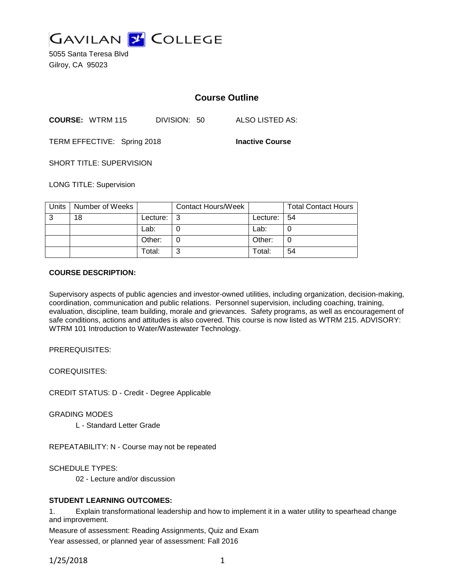

5055 Santa Teresa Blvd Gilroy, CA 95023

# **Course Outline**

**COURSE:** WTRM 115 DIVISION: 50 ALSO LISTED AS:

TERM EFFECTIVE: Spring 2018 **Inactive Course**

SHORT TITLE: SUPERVISION

LONG TITLE: Supervision

| Units | Number of Weeks |          | <b>Contact Hours/Week</b> |          | <b>Total Contact Hours</b> |
|-------|-----------------|----------|---------------------------|----------|----------------------------|
| ົ     | 18              | Lecture: |                           | Lecture: | l 54                       |
|       |                 | Lab:     |                           | Lab:     |                            |
|       |                 | Other:   |                           | Other:   | U                          |
|       |                 | Total:   |                           | Total:   | 54                         |

#### **COURSE DESCRIPTION:**

Supervisory aspects of public agencies and investor-owned utilities, including organization, decision-making, coordination, communication and public relations. Personnel supervision, including coaching, training, evaluation, discipline, team building, morale and grievances. Safety programs, as well as encouragement of safe conditions, actions and attitudes is also covered. This course is now listed as WTRM 215. ADVISORY: WTRM 101 Introduction to Water/Wastewater Technology.

PREREQUISITES:

COREQUISITES:

CREDIT STATUS: D - Credit - Degree Applicable

GRADING MODES

L - Standard Letter Grade

REPEATABILITY: N - Course may not be repeated

SCHEDULE TYPES:

02 - Lecture and/or discussion

### **STUDENT LEARNING OUTCOMES:**

1. Explain transformational leadership and how to implement it in a water utility to spearhead change and improvement.

Measure of assessment: Reading Assignments, Quiz and Exam

Year assessed, or planned year of assessment: Fall 2016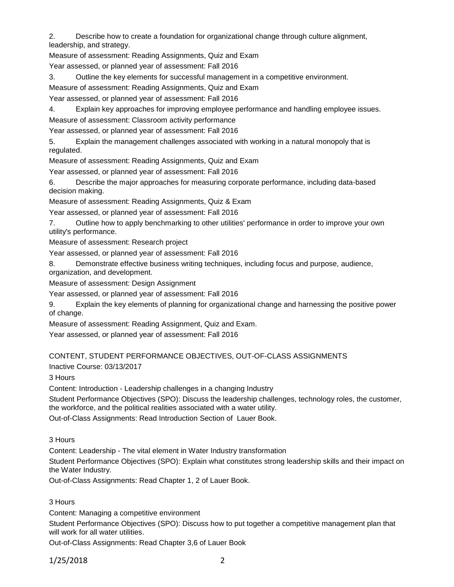2. Describe how to create a foundation for organizational change through culture alignment, leadership, and strategy.

Measure of assessment: Reading Assignments, Quiz and Exam

Year assessed, or planned year of assessment: Fall 2016

3. Outline the key elements for successful management in a competitive environment.

Measure of assessment: Reading Assignments, Quiz and Exam

Year assessed, or planned year of assessment: Fall 2016

4. Explain key approaches for improving employee performance and handling employee issues.

Measure of assessment: Classroom activity performance

Year assessed, or planned year of assessment: Fall 2016

5. Explain the management challenges associated with working in a natural monopoly that is regulated.

Measure of assessment: Reading Assignments, Quiz and Exam

Year assessed, or planned year of assessment: Fall 2016

6. Describe the major approaches for measuring corporate performance, including data-based decision making.

Measure of assessment: Reading Assignments, Quiz & Exam

Year assessed, or planned year of assessment: Fall 2016

7. Outline how to apply benchmarking to other utilities' performance in order to improve your own utility's performance.

Measure of assessment: Research project

Year assessed, or planned year of assessment: Fall 2016

8. Demonstrate effective business writing techniques, including focus and purpose, audience, organization, and development.

Measure of assessment: Design Assignment

Year assessed, or planned year of assessment: Fall 2016

9. Explain the key elements of planning for organizational change and harnessing the positive power of change.

Measure of assessment: Reading Assignment, Quiz and Exam.

Year assessed, or planned year of assessment: Fall 2016

# CONTENT, STUDENT PERFORMANCE OBJECTIVES, OUT-OF-CLASS ASSIGNMENTS

Inactive Course: 03/13/2017

3 Hours

Content: Introduction - Leadership challenges in a changing Industry

Student Performance Objectives (SPO): Discuss the leadership challenges, technology roles, the customer, the workforce, and the political realities associated with a water utility.

Out-of-Class Assignments: Read Introduction Section of Lauer Book.

3 Hours

Content: Leadership - The vital element in Water Industry transformation

Student Performance Objectives (SPO): Explain what constitutes strong leadership skills and their impact on the Water Industry.

Out-of-Class Assignments: Read Chapter 1, 2 of Lauer Book.

3 Hours

Content: Managing a competitive environment

Student Performance Objectives (SPO): Discuss how to put together a competitive management plan that will work for all water utilities.

Out-of-Class Assignments: Read Chapter 3,6 of Lauer Book

1/25/2018 2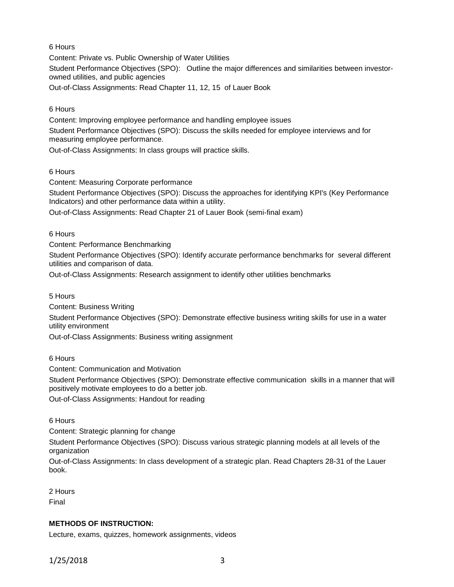# 6 Hours

Content: Private vs. Public Ownership of Water Utilities Student Performance Objectives (SPO): Outline the major differences and similarities between investorowned utilities, and public agencies

Out-of-Class Assignments: Read Chapter 11, 12, 15 of Lauer Book

# 6 Hours

Content: Improving employee performance and handling employee issues

Student Performance Objectives (SPO): Discuss the skills needed for employee interviews and for measuring employee performance.

Out-of-Class Assignments: In class groups will practice skills.

# 6 Hours

Content: Measuring Corporate performance

Student Performance Objectives (SPO): Discuss the approaches for identifying KPI's (Key Performance Indicators) and other performance data within a utility.

Out-of-Class Assignments: Read Chapter 21 of Lauer Book (semi-final exam)

6 Hours

Content: Performance Benchmarking

Student Performance Objectives (SPO): Identify accurate performance benchmarks for several different utilities and comparison of data.

Out-of-Class Assignments: Research assignment to identify other utilities benchmarks

5 Hours

Content: Business Writing

Student Performance Objectives (SPO): Demonstrate effective business writing skills for use in a water utility environment

Out-of-Class Assignments: Business writing assignment

6 Hours

Content: Communication and Motivation

Student Performance Objectives (SPO): Demonstrate effective communication skills in a manner that will positively motivate employees to do a better job.

Out-of-Class Assignments: Handout for reading

6 Hours

Content: Strategic planning for change

Student Performance Objectives (SPO): Discuss various strategic planning models at all levels of the organization

Out-of-Class Assignments: In class development of a strategic plan. Read Chapters 28-31 of the Lauer book.

2 Hours Final

### **METHODS OF INSTRUCTION:**

Lecture, exams, quizzes, homework assignments, videos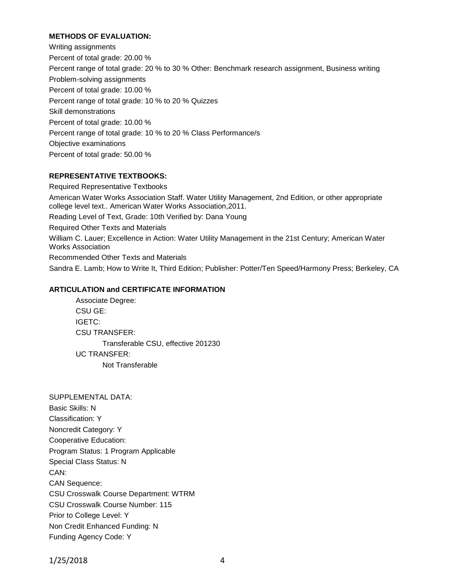### **METHODS OF EVALUATION:**

Writing assignments Percent of total grade: 20.00 % Percent range of total grade: 20 % to 30 % Other: Benchmark research assignment, Business writing Problem-solving assignments Percent of total grade: 10.00 % Percent range of total grade: 10 % to 20 % Quizzes Skill demonstrations Percent of total grade: 10.00 % Percent range of total grade: 10 % to 20 % Class Performance/s Objective examinations Percent of total grade: 50.00 %

#### **REPRESENTATIVE TEXTBOOKS:**

Required Representative Textbooks American Water Works Association Staff. Water Utility Management, 2nd Edition, or other appropriate college level text.. American Water Works Association,2011. Reading Level of Text, Grade: 10th Verified by: Dana Young Required Other Texts and Materials William C. Lauer; Excellence in Action: Water Utility Management in the 21st Century; American Water Works Association Recommended Other Texts and Materials Sandra E. Lamb; How to Write It, Third Edition; Publisher: Potter/Ten Speed/Harmony Press; Berkeley, CA

#### **ARTICULATION and CERTIFICATE INFORMATION**

Associate Degree: CSU GE: IGETC: CSU TRANSFER: Transferable CSU, effective 201230 UC TRANSFER: Not Transferable

SUPPLEMENTAL DATA: Basic Skills: N Classification: Y Noncredit Category: Y Cooperative Education: Program Status: 1 Program Applicable Special Class Status: N CAN: CAN Sequence: CSU Crosswalk Course Department: WTRM CSU Crosswalk Course Number: 115 Prior to College Level: Y Non Credit Enhanced Funding: N Funding Agency Code: Y

1/25/2018 4